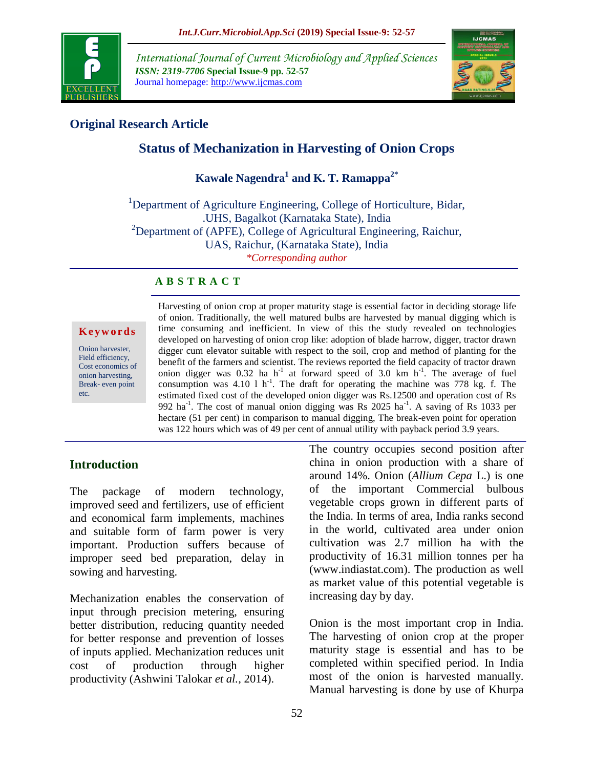

*International Journal of Current Microbiology and Applied Sciences ISSN: 2319-7706* **Special Issue-9 pp. 52-57** Journal homepage: http://www.ijcmas.com



## **Original Research Article**

# **Status of Mechanization in Harvesting of Onion Crops**

# **Kawale Nagendra<sup>1</sup> and K. T. Ramappa2\***

<sup>1</sup>Department of Agriculture Engineering, College of Horticulture, Bidar, .UHS, Bagalkot (Karnataka State), India  $2D$ Pepartment of (APFE), College of Agricultural Engineering, Raichur, UAS, Raichur, (Karnataka State), India *\*Corresponding author*

#### **A B S T R A C T**

#### **K e y w o r d s**

Onion harvester, Field efficiency, Cost economics of onion harvesting, Break- even point etc.

Harvesting of onion crop at proper maturity stage is essential factor in deciding storage life of onion. Traditionally, the well matured bulbs are harvested by manual digging which is time consuming and inefficient. In view of this the study revealed on technologies developed on harvesting of onion crop like: adoption of blade harrow, digger, tractor drawn digger cum elevator suitable with respect to the soil, crop and method of planting for the benefit of the farmers and scientist. The reviews reported the field capacity of tractor drawn onion digger was  $0.32$  ha h<sup>-1</sup> at forward speed of 3.0 km h<sup>-1</sup>. The average of fuel consumption was  $4.10 \text{ l h}^{-1}$ . The draft for operating the machine was 778 kg. f. The estimated fixed cost of the developed onion digger was Rs.12500 and operation cost of Rs 992 ha<sup>-1</sup>. The cost of manual onion digging was Rs 2025 ha<sup>-1</sup>. A saving of Rs 1033 per hectare (51 per cent) in comparison to manual digging, The break-even point for operation was 122 hours which was of 49 per cent of annual utility with payback period 3.9 years.

### **Introduction**

The package of modern technology, improved seed and fertilizers, use of efficient and economical farm implements, machines and suitable form of farm power is very important. Production suffers because of improper seed bed preparation, delay in sowing and harvesting.

Mechanization enables the conservation of input through precision metering, ensuring better distribution, reducing quantity needed for better response and prevention of losses of inputs applied. Mechanization reduces unit cost of production through higher productivity (Ashwini Talokar *et al.,* 2014).

The country occupies second position after china in onion production with a share of around 14%. Onion (*Allium Cepa* L.) is one of the important Commercial bulbous vegetable crops grown in different parts of the India. In terms of area, India ranks second in the world, cultivated area under onion cultivation was 2.7 million ha with the productivity of 16.31 million tonnes per ha (www.indiastat.com). The production as well as market value of this potential vegetable is increasing day by day.

Onion is the most important crop in India. The harvesting of onion crop at the proper maturity stage is essential and has to be completed within specified period. In India most of the onion is harvested manually. Manual harvesting is done by use of Khurpa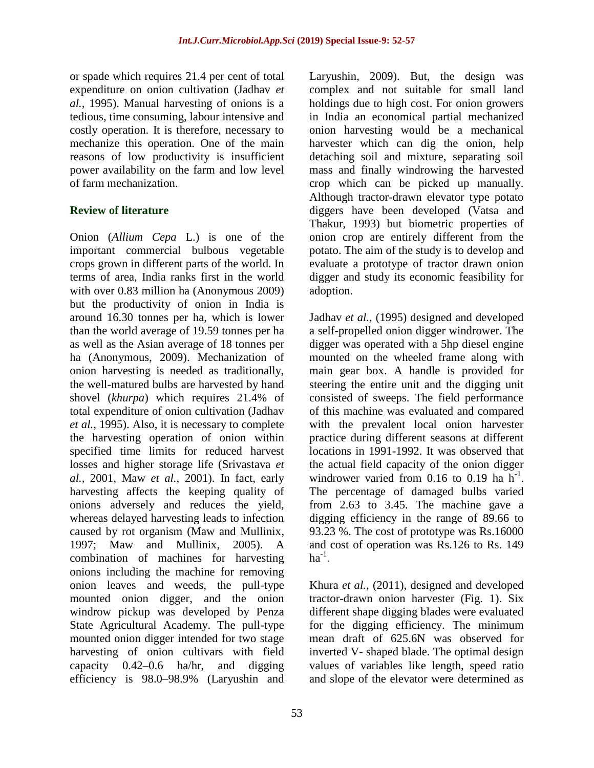or spade which requires 21.4 per cent of total expenditure on onion cultivation (Jadhav *et al.,* 1995). Manual harvesting of onions is a tedious, time consuming, labour intensive and costly operation. It is therefore, necessary to mechanize this operation. One of the main reasons of low productivity is insufficient power availability on the farm and low level of farm mechanization.

# **Review of literature**

Onion (*Allium Cepa* L.) is one of the important commercial bulbous vegetable crops grown in different parts of the world. In terms of area, India ranks first in the world with over 0.83 million ha (Anonymous 2009) but the productivity of onion in India is around 16.30 tonnes per ha, which is lower than the world average of 19.59 tonnes per ha as well as the Asian average of 18 tonnes per ha (Anonymous, 2009). Mechanization of onion harvesting is needed as traditionally, the well-matured bulbs are harvested by hand shovel (*khurpa*) which requires 21.4% of total expenditure of onion cultivation (Jadhav *et al.,* 1995). Also, it is necessary to complete the harvesting operation of onion within specified time limits for reduced harvest losses and higher storage life (Srivastava *et al.,* 2001, Maw *et al.,* 2001). In fact, early harvesting affects the keeping quality of onions adversely and reduces the yield, whereas delayed harvesting leads to infection caused by rot organism (Maw and Mullinix, 1997; Maw and Mullinix, 2005). A combination of machines for harvesting onions including the machine for removing onion leaves and weeds, the pull-type mounted onion digger, and the onion windrow pickup was developed by Penza State Agricultural Academy. The pull-type mounted onion digger intended for two stage harvesting of onion cultivars with field capacity 0.42–0.6 ha/hr, and digging efficiency is 98.0–98.9% (Laryushin and

Laryushin, 2009). But, the design was complex and not suitable for small land holdings due to high cost. For onion growers in India an economical partial mechanized onion harvesting would be a mechanical harvester which can dig the onion, help detaching soil and mixture, separating soil mass and finally windrowing the harvested crop which can be picked up manually. Although tractor-drawn elevator type potato diggers have been developed (Vatsa and Thakur, 1993) but biometric properties of onion crop are entirely different from the potato. The aim of the study is to develop and evaluate a prototype of tractor drawn onion digger and study its economic feasibility for adoption.

Jadhav *et al.,* (1995) designed and developed a self-propelled onion digger windrower. The digger was operated with a 5hp diesel engine mounted on the wheeled frame along with main gear box. A handle is provided for steering the entire unit and the digging unit consisted of sweeps. The field performance of this machine was evaluated and compared with the prevalent local onion harvester practice during different seasons at different locations in 1991-1992. It was observed that the actual field capacity of the onion digger windrower varied from  $0.16$  to  $0.19$  ha  $h^{-1}$ . The percentage of damaged bulbs varied from 2.63 to 3.45. The machine gave a digging efficiency in the range of 89.66 to 93.23 %. The cost of prototype was Rs.16000 and cost of operation was Rs.126 to Rs. 149  $ha^{-1}$ .

Khura *et al.,* (2011), designed and developed tractor-drawn onion harvester (Fig. 1). Six different shape digging blades were evaluated for the digging efficiency. The minimum mean draft of 625.6N was observed for inverted V- shaped blade. The optimal design values of variables like length, speed ratio and slope of the elevator were determined as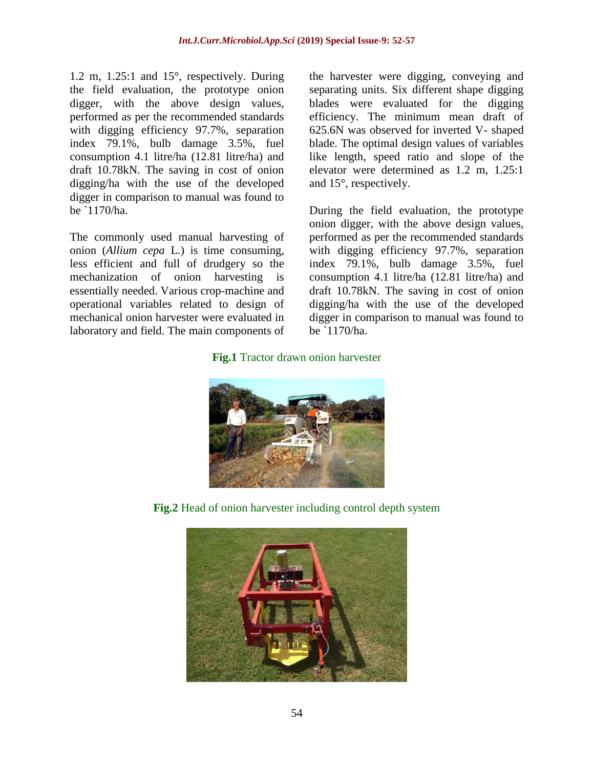1.2 m, 1.25:1 and 15°, respectively. During the field evaluation, the prototype onion digger, with the above design values, performed as per the recommended standards with digging efficiency 97.7%, separation index 79.1%, bulb damage 3.5%, fuel consumption 4.1 litre/ha (12.81 litre/ha) and draft 10.78kN. The saving in cost of onion digging/ha with the use of the developed digger in comparison to manual was found to be `1170/ha.

The commonly used manual harvesting of onion (*Allium cepa* L.) is time consuming, less efficient and full of drudgery so the mechanization of onion harvesting is essentially needed. Various crop-machine and operational variables related to design of mechanical onion harvester were evaluated in laboratory and field. The main components of the harvester were digging, conveying and separating units. Six different shape digging blades were evaluated for the digging efficiency. The minimum mean draft of 625.6N was observed for inverted V- shaped blade. The optimal design values of variables like length, speed ratio and slope of the elevator were determined as 1.2 m, 1.25:1 and 15°, respectively.

During the field evaluation, the prototype onion digger, with the above design values, performed as per the recommended standards with digging efficiency 97.7%, separation index 79.1%, bulb damage 3.5%, fuel consumption 4.1 litre/ha (12.81 litre/ha) and draft 10.78kN. The saving in cost of onion digging/ha with the use of the developed digger in comparison to manual was found to be `1170/ha.

### **Fig.1** Tractor drawn onion harvester



**Fig.2** Head of onion harvester including control depth system

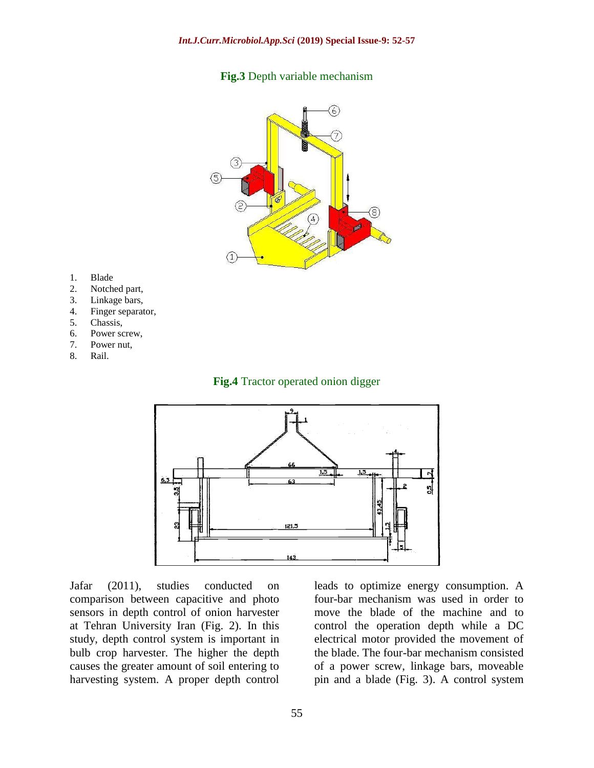#### **Fig.3** Depth variable mechanism



- 1. Blade
- 2. Notched part,
- 3. Linkage bars,
- 4. Finger separator,
- 5. Chassis,
- 6. Power screw,
- 7. Power nut,
- 8. Rail.

#### **Fig.4** Tractor operated onion digger



Jafar (2011), studies conducted on comparison between capacitive and photo sensors in depth control of onion harvester at Tehran University Iran (Fig. 2). In this study, depth control system is important in bulb crop harvester. The higher the depth causes the greater amount of soil entering to harvesting system. A proper depth control

leads to optimize energy consumption. A four-bar mechanism was used in order to move the blade of the machine and to control the operation depth while a DC electrical motor provided the movement of the blade. The four-bar mechanism consisted of a power screw, linkage bars, moveable pin and a blade (Fig. 3). A control system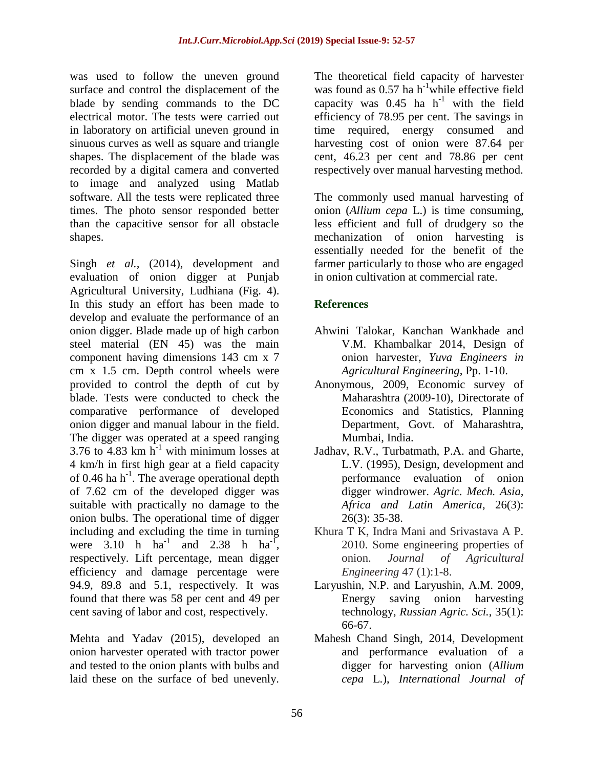was used to follow the uneven ground surface and control the displacement of the blade by sending commands to the DC electrical motor. The tests were carried out in laboratory on artificial uneven ground in sinuous curves as well as square and triangle shapes. The displacement of the blade was recorded by a digital camera and converted to image and analyzed using Matlab software. All the tests were replicated three times. The photo sensor responded better than the capacitive sensor for all obstacle shapes.

Singh *et al.,* (2014), development and evaluation of onion digger at Punjab Agricultural University, Ludhiana (Fig. 4). In this study an effort has been made to develop and evaluate the performance of an onion digger. Blade made up of high carbon steel material (EN 45) was the main component having dimensions 143 cm x 7 cm x 1.5 cm. Depth control wheels were provided to control the depth of cut by blade. Tests were conducted to check the comparative performance of developed onion digger and manual labour in the field. The digger was operated at a speed ranging 3.76 to  $\frac{3.76}{4.83}$  km h<sup>-1</sup> with minimum losses at 4 km/h in first high gear at a field capacity of 0.46 ha h<sup>-1</sup>. The average operational depth of 7.62 cm of the developed digger was suitable with practically no damage to the onion bulbs. The operational time of digger including and excluding the time in turning were  $3.10$  h ha<sup>-1</sup> and  $2.38$  h ha<sup>-1</sup>, respectively. Lift percentage, mean digger efficiency and damage percentage were 94.9, 89.8 and 5.1, respectively. It was found that there was 58 per cent and 49 per cent saving of labor and cost, respectively.

Mehta and Yadav (2015), developed an onion harvester operated with tractor power and tested to the onion plants with bulbs and laid these on the surface of bed unevenly.

The theoretical field capacity of harvester was found as  $0.57$  ha h<sup>-1</sup>while effective field capacity was  $0.45$  ha h<sup>-1</sup> with the field efficiency of 78.95 per cent. The savings in time required, energy consumed and harvesting cost of onion were 87.64 per cent, 46.23 per cent and 78.86 per cent respectively over manual harvesting method.

The commonly used manual harvesting of onion (*Allium cepa* L.) is time consuming, less efficient and full of drudgery so the mechanization of onion harvesting is essentially needed for the benefit of the farmer particularly to those who are engaged in onion cultivation at commercial rate.

# **References**

- Ahwini Talokar, Kanchan Wankhade and V.M. Khambalkar 2014, Design of onion harvester, *Yuva Engineers in Agricultural Engineering*, Pp. 1-10.
- Anonymous, 2009, Economic survey of Maharashtra (2009-10), Directorate of Economics and Statistics, Planning Department, Govt. of Maharashtra, Mumbai, India.
- Jadhav, R.V., Turbatmath, P.A. and Gharte, L.V. (1995), Design, development and performance evaluation of onion digger windrower. *Agric. Mech. Asia, Africa and Latin America*, 26(3): 26(3): 35-38.
- Khura T K, Indra Mani and Srivastava A P. 2010. Some engineering properties of onion. *Journal of Agricultural Engineering* 47 (1):1-8.
- Laryushin, N.P. and Laryushin, A.M. 2009, Energy saving onion harvesting technology, *Russian Agric. Sci.*, 35(1): 66-67.
- Mahesh Chand Singh, 2014, Development and performance evaluation of a digger for harvesting onion (*Allium cepa* L.), *International Journal of*